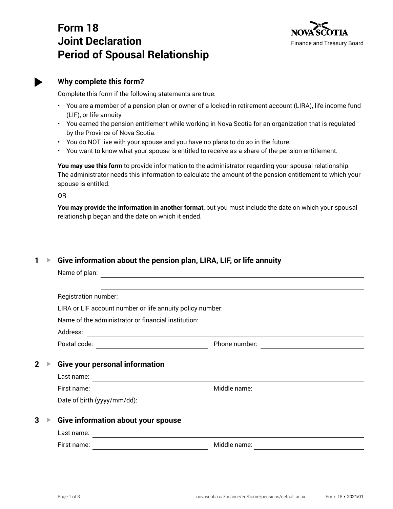# **Form 18 Joint Declaration Period of Spousal Relationship**





# **Why complete this form?**

Complete this form if the following statements are true:

- You are a member of a pension plan or owner of a locked-in retirement account (LIRA), life income fund (LIF), or life annuity.
- You earned the pension entitlement while working in Nova Scotia for an organization that is regulated by the Province of Nova Scotia.
- You do NOT live with your spouse and you have no plans to do so in the future.
- You want to know what your spouse is entitled to receive as a share of the pension entitlement.

**You may use this form** to provide information to the administrator regarding your spousal relationship. The administrator needs this information to calculate the amount of the pension entitlement to which your spouse is entitled.

OR

**You may provide the information in another format**, but you must include the date on which your spousal relationship began and the date on which it ended.

# **1 ▶ Give information about the pension plan, LIRA, LIF, or life annuity**

|                | Name of plan:                                                                                                                         |                                                                                                                       |  |
|----------------|---------------------------------------------------------------------------------------------------------------------------------------|-----------------------------------------------------------------------------------------------------------------------|--|
|                |                                                                                                                                       |                                                                                                                       |  |
|                | Registration number:                                                                                                                  | <u> 1989 - Johann Stoff, deutscher Stoff, der Stoff, der Stoff, der Stoff, der Stoff, der Stoff, der Stoff, der S</u> |  |
|                | LIRA or LIF account number or life annuity policy number:                                                                             | <u> 1989 - Johann Stoff, fransk politik (d. 1989)</u>                                                                 |  |
|                | Name of the administrator or financial institution:<br><u> 1989 - Johann Harry Communication (b. 1989)</u>                            |                                                                                                                       |  |
|                | Address:                                                                                                                              | <u> 1989 - Johann Stoff, deutscher Stoff, der Stoff, der Stoff, der Stoff, der Stoff, der Stoff, der Stoff, der S</u> |  |
|                | Postal code:<br><u> 1980 - Johann Barbara, martin e</u>                                                                               | Phone number:                                                                                                         |  |
| $\overline{2}$ | <b>Give your personal information</b>                                                                                                 |                                                                                                                       |  |
|                |                                                                                                                                       |                                                                                                                       |  |
|                | Last name:                                                                                                                            |                                                                                                                       |  |
|                | First name:<br><u> 1989 - Johann Stoff, deutscher Stoffen und der Stoffen und der Stoffen und der Stoffen und der Stoffen und der</u> | Middle name:                                                                                                          |  |
|                | Date of birth (yyyy/mm/dd):                                                                                                           |                                                                                                                       |  |
| 3              | Give information about your spouse<br>Last name:                                                                                      |                                                                                                                       |  |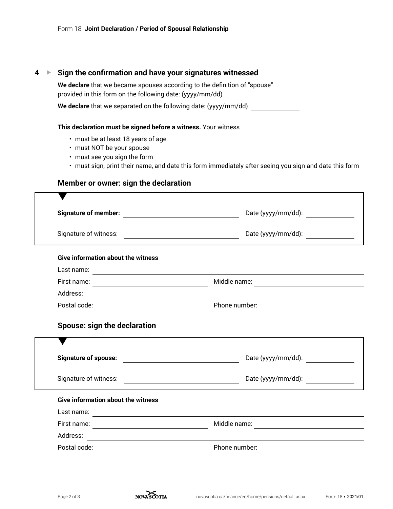## **4 ▶ Sign the confirmation and have your signatures witnessed**

**We declare** that we became spouses according to the definition of "spouse" provided in this form on the following date: (yyyy/mm/dd)

**We declare** that we separated on the following date: (yyyy/mm/dd)

#### **This declaration must be signed before a witness.** Your witness

- must be at least 18 years of age
- must NOT be your spouse
- must see you sign the form
- must sign, print their name, and date this form immediately after seeing you sign and date this form

# **Member or owner: sign the declaration**

| Date (yyyy/mm/dd): _______________<br>Date (yyyy/mm/dd): |
|----------------------------------------------------------|
|                                                          |
|                                                          |
|                                                          |
|                                                          |
|                                                          |
|                                                          |
|                                                          |
| Date (yyyy/mm/dd):                                       |
| Date (yyyy/mm/dd):                                       |
|                                                          |
|                                                          |
|                                                          |
|                                                          |
|                                                          |